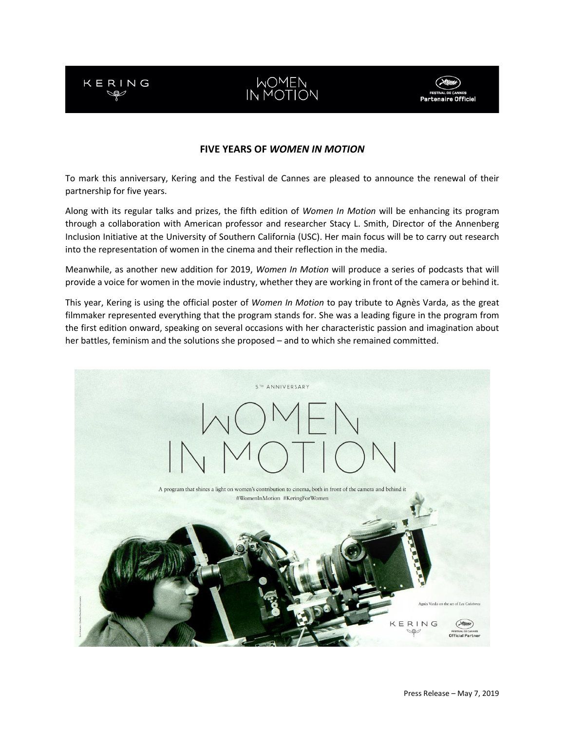

# WOMEN<br>IN MOTION



## **FIVE YEARS OF** *WOMEN IN MOTION*

To mark this anniversary, Kering and the Festival de Cannes are pleased to announce the renewal of their partnership for five years.

Along with its regular talks and prizes, the fifth edition of *Women In Motion* will be enhancing its program through a collaboration with American professor and researcher Stacy L. Smith, Director of the Annenberg Inclusion Initiative at the University of Southern California (USC). Her main focus will be to carry out research into the representation of women in the cinema and their reflection in the media.

Meanwhile, as another new addition for 2019, *Women In Motion* will produce a series of podcasts that will provide a voice for women in the movie industry, whether they are working in front of the camera or behind it.

This year, Kering is using the official poster of *Women In Motion* to pay tribute to Agnès Varda, as the great filmmaker represented everything that the program stands for. She was a leading figure in the program from the first edition onward, speaking on several occasions with her characteristic passion and imagination about her battles, feminism and the solutions she proposed – and to which she remained committed.

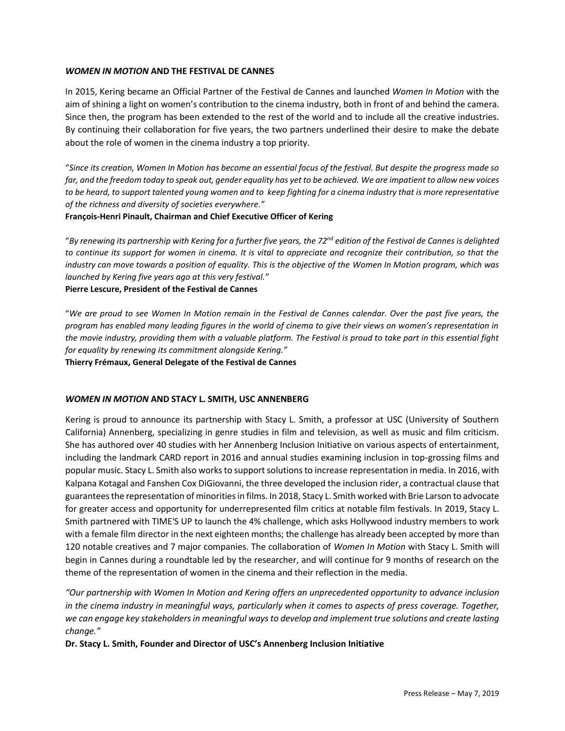## *WOMEN IN MOTION* **AND THE FESTIVAL DE CANNES**

In 2015, Kering became an Official Partner of the Festival de Cannes and launched *Women In Motion* with the aim of shining a light on women's contribution to the cinema industry, both in front of and behind the camera. Since then, the program has been extended to the rest of the world and to include all the creative industries. By continuing their collaboration for five years, the two partners underlined their desire to make the debate about the role of women in the cinema industry a top priority.

"*Since its creation, Women In Motion has become an essential focus of the festival. But despite the progress made so far, and the freedom today to speak out, gender equality has yet to be achieved. We are impatient to allow new voices to be heard, to support talented young women and to keep fighting for a cinema industry that is more representative of the richness and diversity of societies everywhere."*

## **François-Henri Pinault, Chairman and Chief Executive Officer of Kering**

"*By renewing its partnership with Kering for a further five years, the 72nd edition of the Festival de Cannes is delighted to continue its support for women in cinema. It is vital to appreciate and recognize their contribution, so that the industry can move towards a position of equality. This is the objective of the Women In Motion program, which was launched by Kering five years ago at this very festival."* **Pierre Lescure, President of the Festival de Cannes**

"*We are proud to see Women In Motion remain in the Festival de Cannes calendar. Over the past five years, the program has enabled many leading figures in the world of cinema to give their views on women's representation in the movie industry, providing them with a valuable platform. The Festival is proud to take part in this essential fight for equality by renewing its commitment alongside Kering."*

**Thierry Frémaux, General Delegate of the Festival de Cannes**

## *WOMEN IN MOTION* **AND STACY L. SMITH, USC ANNENBERG**

Kering is proud to announce its partnership with Stacy L. Smith, a professor at USC (University of Southern California) Annenberg, specializing in genre studies in film and television, as well as music and film criticism. She has authored over 40 studies with her Annenberg Inclusion Initiative on various aspects of entertainment, including the landmark CARD report in 2016 and annual studies examining inclusion in top-grossing films and popular music. Stacy L. Smith also works to support solutions to increase representation in media. In 2016, with Kalpana Kotagal and Fanshen Cox DiGiovanni, the three developed the inclusion rider, a contractual clause that guarantees the representation of minorities in films. In 2018, Stacy L. Smith worked with Brie Larson to advocate for greater access and opportunity for underrepresented film critics at notable film festivals. In 2019, Stacy L. Smith partnered with TIME'S UP to launch the 4% challenge, which asks Hollywood industry members to work with a female film director in the next eighteen months; the challenge has already been accepted by more than 120 notable creatives and 7 major companies. The collaboration of *Women In Motion* with Stacy L. Smith will begin in Cannes during a roundtable led by the researcher, and will continue for 9 months of research on the theme of the representation of women in the cinema and their reflection in the media.

*"Our partnership with Women In Motion and Kering offers an unprecedented opportunity to advance inclusion in the cinema industry in meaningful ways, particularly when it comes to aspects of press coverage. Together, we can engage key stakeholders in meaningful ways to develop and implement true solutions and create lasting change."* 

**Dr. Stacy L. Smith, Founder and Director of USC's Annenberg Inclusion Initiative**